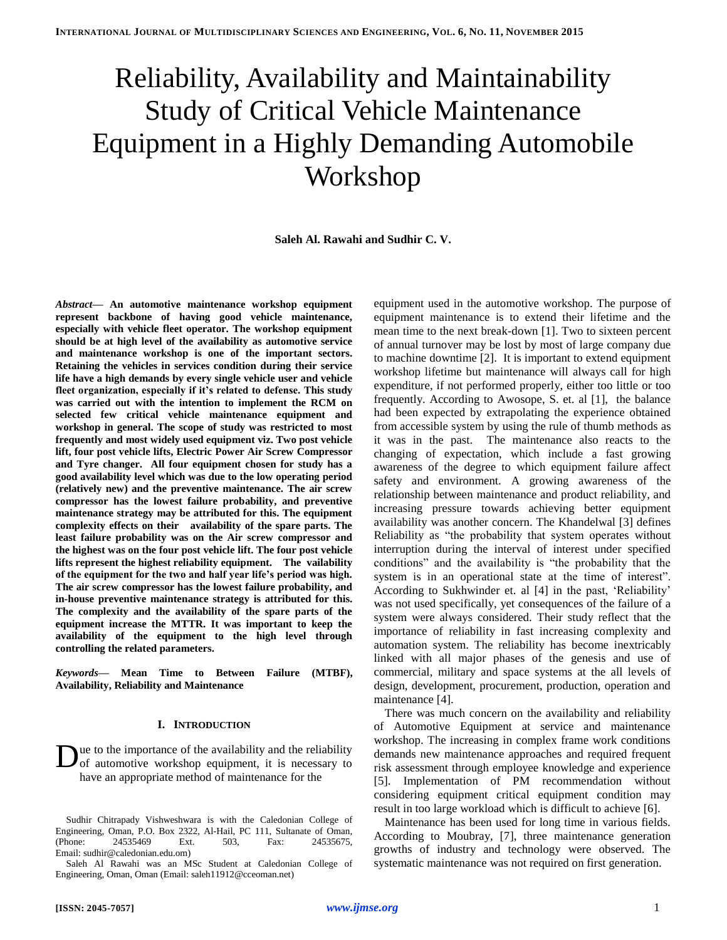# Reliability, Availability and Maintainability Study of Critical Vehicle Maintenance Equipment in a Highly Demanding Automobile Workshop

**Saleh Al. Rawahi and Sudhir C. V.**

*Abstract***— An automotive maintenance workshop equipment represent backbone of having good vehicle maintenance, especially with vehicle fleet operator. The workshop equipment should be at high level of the availability as automotive service and maintenance workshop is one of the important sectors. Retaining the vehicles in services condition during their service life have a high demands by every single vehicle user and vehicle fleet organization, especially if it's related to defense. This study was carried out with the intention to implement the RCM on selected few critical vehicle maintenance equipment and workshop in general. The scope of study was restricted to most frequently and most widely used equipment viz. Two post vehicle lift, four post vehicle lifts, Electric Power Air Screw Compressor and Tyre changer. All four equipment chosen for study has a good availability level which was due to the low operating period (relatively new) and the preventive maintenance. The air screw compressor has the lowest failure probability, and preventive maintenance strategy may be attributed for this. The equipment complexity effects on their availability of the spare parts. The least failure probability was on the Air screw compressor and the highest was on the four post vehicle lift. The four post vehicle lifts represent the highest reliability equipment. The vailability of the equipment for the two and half year life's period was high. The air screw compressor has the lowest failure probability, and in-house preventive maintenance strategy is attributed for this. The complexity and the availability of the spare parts of the equipment increase the MTTR. It was important to keep the availability of the equipment to the high level through controlling the related parameters.**

*Keywords***— Mean Time to Between Failure (MTBF), Availability, Reliability and Maintenance**

## **I. INTRODUCTION**

ue to the importance of the availability and the reliability of automotive workshop equipment, it is necessary to have an appropriate method of maintenance for the D

equipment used in the automotive workshop. The purpose of equipment maintenance is to extend their lifetime and the mean time to the next break-down [\[1\]](#page-6-0). Two to sixteen percent of annual turnover may be lost by most of large company due to machine downtime [\[2\]](#page-6-1). It is important to extend equipment workshop lifetime but maintenance will always call for high expenditure, if not performed properly, either too little or too frequently. According to Awosope, S. et. al [\[1\]](#page-6-0), the balance had been expected by extrapolating the experience obtained from accessible system by using the rule of thumb methods as it was in the past. The maintenance also reacts to the changing of expectation, which include a fast growing awareness of the degree to which equipment failure affect safety and environment. A growing awareness of the relationship between maintenance and product reliability, and increasing pressure towards achieving better equipment availability was another concern. The Khandelwal [\[3\]](#page-6-2) defines Reliability as "the probability that system operates without interruption during the interval of interest under specified conditions" and the availability is "the probability that the system is in an operational state at the time of interest". According to Sukhwinder et. al [\[4\]](#page-6-3) in the past, 'Reliability' was not used specifically, yet consequences of the failure of a system were always considered. Their study reflect that the importance of reliability in fast increasing complexity and automation system. The reliability has become inextricably linked with all major phases of the genesis and use of commercial, military and space systems at the all levels of design, development, procurement, production, operation and maintenance [\[4\]](#page-6-3).

There was much concern on the availability and reliability of Automotive Equipment at service and maintenance workshop. The increasing in complex frame work conditions demands new maintenance approaches and required frequent risk assessment through employee knowledge and experience [\[5\]](#page-6-4). Implementation of PM recommendation without considering equipment critical equipment condition may result in too large workload which is difficult to achieve [\[6\]](#page-6-5).

Maintenance has been used for long time in various fields. According to Moubray, [\[7\]](#page-6-6), three maintenance generation growths of industry and technology were observed. The systematic maintenance was not required on first generation.

Sudhir Chitrapady Vishweshwara is with the Caledonian College of Engineering, Oman, P.O. Box 2322, Al-Hail, PC 111, Sultanate of Oman, (Phone: 24535469 Ext. 503, Fax: 24535675, Email: sudhir@caledonian.edu.om)

Saleh Al Rawahi was an MSc Student at Caledonian College of Engineering, Oman, Oman (Email: saleh11912@cceoman.net)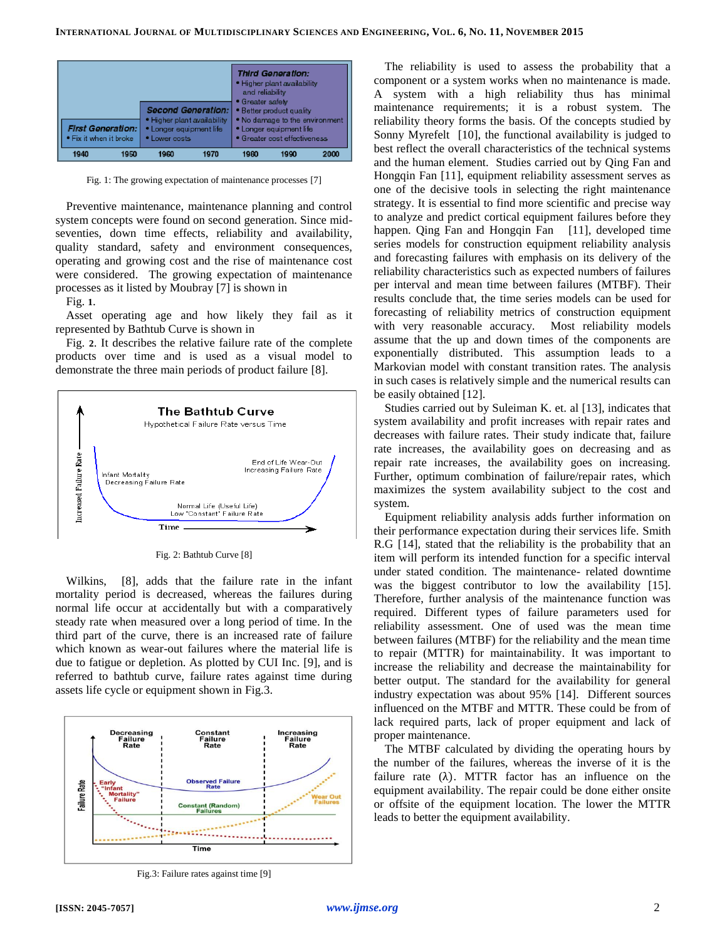

<span id="page-1-0"></span>Fig. 1: The growing expectation of maintenance processes [\[7\]](#page-6-6)

Preventive maintenance, maintenance planning and control system concepts were found on second generation. Since midseventies, down time effects, reliability and availability, quality standard, safety and environment consequences, operating and growing cost and the rise of maintenance cost were considered. The growing expectation of maintenance processes as it listed by Moubray [\[7\]](#page-6-6) is shown in

[Fig.](#page-1-0) **1**.

Asset operating age and how likely they fail as it represented by Bathtub Curve is shown in

[Fig.](#page-1-1) **2**. It describes the relative failure rate of the complete products over time and is used as a visual model to demonstrate the three main periods of product failure [\[8\]](#page-6-7).



Fig. 2: Bathtub Curve [\[8\]](#page-6-7)

<span id="page-1-1"></span>Wilkins, [\[8\]](#page-6-7), adds that the failure rate in the infant mortality period is decreased, whereas the failures during normal life occur at accidentally but with a comparatively steady rate when measured over a long period of time. In the third part of the curve, there is an increased rate of failure which known as wear-out failures where the material life is due to fatigue or depletion. As plotted by CUI Inc. [\[9\]](#page-6-8), and is referred to bathtub curve, failure rates against time during assets life cycle or equipment shown in [Fig.3.](#page-1-2)



<span id="page-1-2"></span>Fig.3: Failure rates against time [\[9\]](#page-6-8)

The reliability is used to assess the probability that a component or a system works when no maintenance is made. A system with a high reliability thus has minimal maintenance requirements; it is a robust system. The reliability theory forms the basis. Of the concepts studied by Sonny Myrefelt [\[10\]](#page-6-9), the functional availability is judged to best reflect the overall characteristics of the technical systems and the human element. Studies carried out by Qing Fan and Hongqin Fan [\[11\]](#page-6-10), equipment reliability assessment serves as one of the decisive tools in selecting the right maintenance strategy. It is essential to find more scientific and precise way to analyze and predict cortical equipment failures before they happen. Qing Fan and Hongqin Fan [\[11\]](#page-6-10), developed time series models for construction equipment reliability analysis and forecasting failures with emphasis on its delivery of the reliability characteristics such as expected numbers of failures per interval and mean time between failures (MTBF). Their results conclude that, the time series models can be used for forecasting of reliability metrics of construction equipment with very reasonable accuracy. Most reliability models assume that the up and down times of the components are exponentially distributed. This assumption leads to a Markovian model with constant transition rates. The analysis in such cases is relatively simple and the numerical results can be easily obtained [\[12\]](#page-6-11).

Studies carried out by Suleiman K. et. al [\[13\]](#page-6-12), indicates that system availability and profit increases with repair rates and decreases with failure rates. Their study indicate that, failure rate increases, the availability goes on decreasing and as repair rate increases, the availability goes on increasing. Further, optimum combination of failure/repair rates, which maximizes the system availability subject to the cost and system.

Equipment reliability analysis adds further information on their performance expectation during their services life. Smith R.G [\[14\]](#page-6-13), stated that the reliability is the probability that an item will perform its intended function for a specific interval under stated condition. The maintenance- related downtime was the biggest contributor to low the availability [\[15\]](#page-6-14). Therefore, further analysis of the maintenance function was required. Different types of failure parameters used for reliability assessment. One of used was the mean time between failures (MTBF) for the reliability and the mean time to repair (MTTR) for maintainability. It was important to increase the reliability and decrease the maintainability for better output. The standard for the availability for general industry expectation was about 95% [\[14\]](#page-6-13). Different sources influenced on the MTBF and MTTR. These could be from of lack required parts, lack of proper equipment and lack of proper maintenance.

The MTBF calculated by dividing the operating hours by the number of the failures, whereas the inverse of it is the failure rate  $(\lambda)$ . MTTR factor has an influence on the equipment availability. The repair could be done either onsite or offsite of the equipment location. The lower the MTTR leads to better the equipment availability.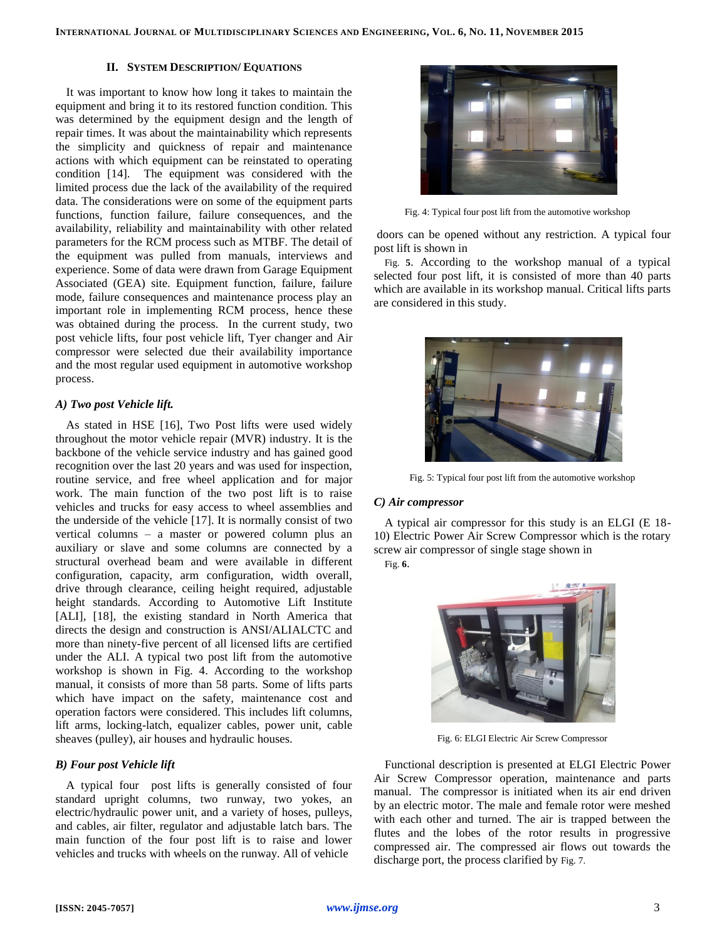## **II. SYSTEM DESCRIPTION/ EQUATIONS**

It was important to know how long it takes to maintain the equipment and bring it to its restored function condition. This was determined by the equipment design and the length of repair times. It was about the maintainability which represents the simplicity and quickness of repair and maintenance actions with which equipment can be reinstated to operating condition [\[14\]](#page-6-13). The equipment was considered with the limited process due the lack of the availability of the required data. The considerations were on some of the equipment parts functions, function failure, failure consequences, and the availability, reliability and maintainability with other related parameters for the RCM process such as MTBF. The detail of the equipment was pulled from manuals, interviews and experience. Some of data were drawn from Garage Equipment Associated (GEA) site. Equipment function, failure, failure mode, failure consequences and maintenance process play an important role in implementing RCM process, hence these was obtained during the process. In the current study, two post vehicle lifts, four post vehicle lift, Tyer changer and Air compressor were selected due their availability importance and the most regular used equipment in automotive workshop process.

# *A) Two post Vehicle lift.*

As stated in HSE [\[16\]](#page-6-15), Two Post lifts were used widely throughout the motor vehicle repair (MVR) industry. It is the backbone of the vehicle service industry and has gained good recognition over the last 20 years and was used for inspection, routine service, and free wheel application and for major work. The main function of the two post lift is to raise vehicles and trucks for easy access to wheel assemblies and the underside of the vehicle [\[17\]](#page-6-16). It is normally consist of two vertical columns – a master or powered column plus an auxiliary or slave and some columns are connected by a structural overhead beam and were available in different configuration, capacity, arm configuration, width overall, drive through clearance, ceiling height required, adjustable height standards. According to Automotive Lift Institute [ALI], [\[18\]](#page-6-17), the existing standard in North America that directs the design and construction is ANSI/ALIALCTC and more than ninety-five percent of all licensed lifts are certified under the ALI. A typical two post lift from the automotive workshop is shown in Fig. 4. According to the workshop manual, it consists of more than 58 parts. Some of lifts parts which have impact on the safety, maintenance cost and operation factors were considered. This includes lift columns, lift arms, locking-latch, equalizer cables, power unit, cable sheaves (pulley), air houses and hydraulic houses.

# *B) Four post Vehicle lift*

A typical four post lifts is generally consisted of four standard upright columns, two runway, two yokes, an electric/hydraulic power unit, and a variety of hoses, pulleys, and cables, air filter, regulator and adjustable latch bars. The main function of the four post lift is to raise and lower vehicles and trucks with wheels on the runway. All of vehicle



Fig. 4: Typical four post lift from the automotive workshop

doors can be opened without any restriction. A typical four post lift is shown i[n](#page-2-0)

[Fig.](#page-2-0) **5**. According to the workshop manual of a typical selected four post lift, it is consisted of more than 40 parts which are available in its workshop manual. Critical lifts parts are considered in this study.



Fig. 5: Typical four post lift from the automotive workshop

## <span id="page-2-0"></span>*C) Air compressor*

A typical air compressor for this study is an ELGI (E 18- 10) Electric Power Air Screw Compressor which is the rotary screw air compressor of single stage shown in

[Fig.](#page-2-1) **6**.



Fig. 6: ELGI Electric Air Screw Compressor

<span id="page-2-1"></span>Functional description is presented at ELGI Electric Power Air Screw Compressor operation, maintenance and parts manual. The compressor is initiated when its air end driven by an electric motor. The male and female rotor were meshed with each other and turned. The air is trapped between the flutes and the lobes of the rotor results in progressive compressed air. The compressed air flows out towards the discharge port, the process clarified by Fig. 7.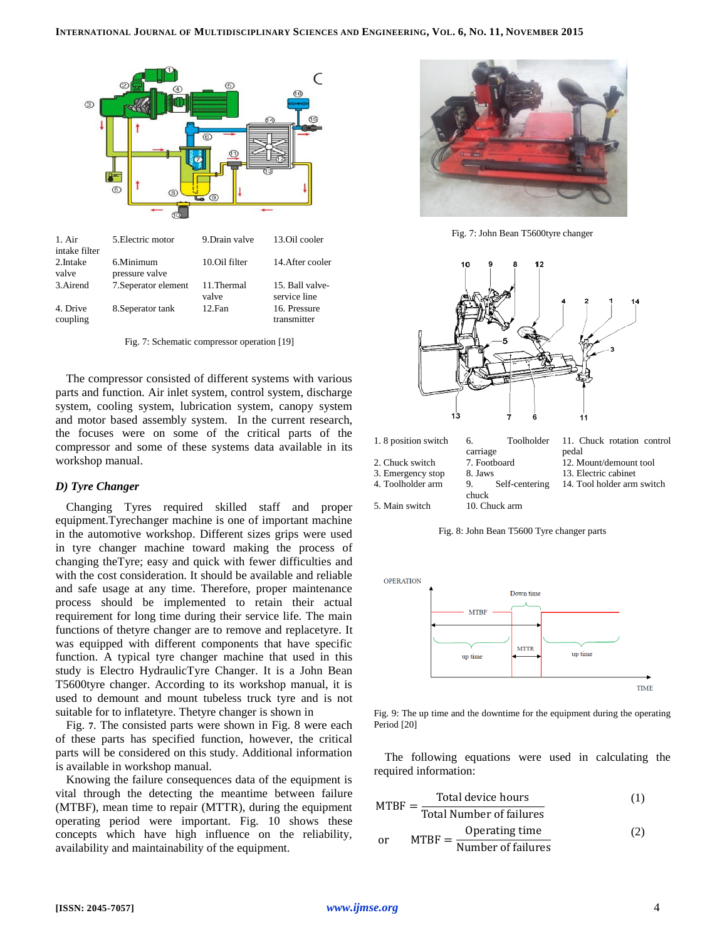

Fig. 7: Schematic compressor operation [\[19\]](#page-6-18)

The compressor consisted of different systems with various parts and function. Air inlet system, control system, discharge system, cooling system, lubrication system, canopy system and motor based assembly system. In the current research, the focuses were on some of the critical parts of the compressor and some of these systems data available in its workshop manual.

#### *D) Tyre Changer*

Changing Tyres required skilled staff and proper equipment.Tyrechanger machine is one of important machine in the automotive workshop. Different sizes grips were used in tyre changer machine toward making the process of changing theTyre; easy and quick with fewer difficulties and with the cost consideration. It should be available and reliable and safe usage at any time. Therefore, proper maintenance process should be implemented to retain their actual requirement for long time during their service life. The main functions of thetyre changer are to remove and replacetyre. It was equipped with different components that have specific function. A typical tyre changer machine that used in this study is Electro HydraulicTyre Changer. It is a John Bean T5600tyre changer. According to its workshop manual, it is used to demount and mount tubeless truck tyre and is not suitable for to inflatetyre. Thetyre changer is shown i[n](#page-3-0) 

[Fig.](#page-3-0) **7**. The consisted parts were shown in [Fig. 8](#page-3-1) were each of these parts has specified function, however, the critical parts will be considered on this study. Additional information is available in workshop manual.

Knowing the failure consequences data of the equipment is vital through the detecting the meantime between failure (MTBF), mean time to repair (MTTR), during the equipment operating period were important. Fig. 10 shows these concepts which have high influence on the reliability, availability and maintainability of the equipment.



Fig. 7: John Bean T5600tyre changer

<span id="page-3-0"></span>



4. Toolholder arm 9. Self-centering 5. Main switch 10. Chuck arm

Fig. 8: John Bean T5600 Tyre changer parts

chuck

<span id="page-3-1"></span>

Fig. 9: The up time and the downtime for the equipment during the operating Period [\[20\]](#page-6-19)

The following equations were used in calculating the required information:

MTBF = 
$$
\frac{\text{Total device hours}}{\text{Total Value}} \tag{1}
$$

Total Number of failures

$$
MTBF = \frac{Operating time}{Number of failures}
$$
 (2)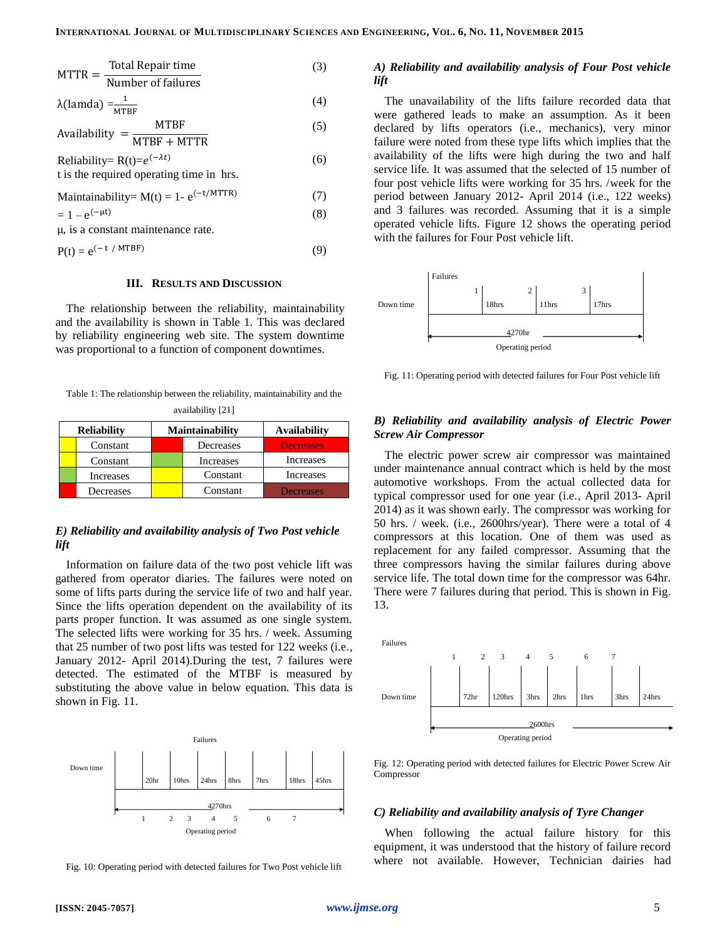(8)

$$
MTTR = \frac{\text{Total Region time}}{\text{Number of failures}} \tag{3}
$$

$$
\lambda(\text{lamda}) = \frac{1}{\text{MTBF}} \tag{4}
$$

$$
Availableility = \frac{MTBF}{MTBF + MTTR}
$$
 (3)

Reliability= 
$$
R(t)=e^{(-\lambda t)}
$$
 (6)  
t is the required operating time in hrs.

$$
Maintainability = M(t) = 1 - e^{(-t/MTTR)}
$$
 (7)

$$
=1-e^{(-\mu t)}
$$

$$
\mu, \text{ is a constant maintenance rate.}
$$
\n
$$
D(x) = \frac{1}{2} \left( \frac{1}{2} \left( \frac{1}{2} \right)^{1/2} \right)
$$

$$
P(t) = e^{(-t / MTBF)}
$$
\n(9)

#### **III. RESULTS AND DISCUSSION**

The relationship between the reliability, maintainability and the availability is shown in Table 1. This was declared by reliability engineering web site. The system downtime was proportional to a function of component downtimes.

Table 1: The relationship between the reliability, maintainability and the availability [\[21\]](#page-6-20)

| <b>Reliability</b> |           | <b>Maintainability</b> |           | <b>Availability</b> |  |
|--------------------|-----------|------------------------|-----------|---------------------|--|
|                    | Constant  |                        | Decreases | <b>Decreases</b>    |  |
|                    | Constant  |                        | Increases | Increases           |  |
|                    | Increases |                        | Constant  | Increases           |  |
|                    | Decreases |                        | Constant  | <b>Decreases</b>    |  |

#### *E) Reliability and availability analysis of Two Post vehicle lift*

Information on failure data of the two post vehicle lift was gathered from operator diaries. The failures were noted on some of lifts parts during the service life of two and half year. Since the lifts operation dependent on the availability of its parts proper function. It was assumed as one single system. The selected lifts were working for 35 hrs. / week. Assuming that 25 number of two post lifts was tested for 122 weeks (i.e., January 2012- April 2014).During the test, 7 failures were detected. The estimated of the MTBF is measured by substituting the above value in below equation. This data is shown in Fig. 11.



Fig. 10: Operating period with detected failures for Two Post vehicle lift

#### *A) Reliability and availability analysis of Four Post vehicle lift*

The unavailability of the lifts failure recorded data that were gathered leads to make an assumption. As it been declared by lifts operators (i.e., mechanics), very minor failure were noted from these type lifts which implies that the availability of the lifts were high during the two and half service life. It was assumed that the selected of 15 number of four post vehicle lifts were working for 35 hrs. /week for the period between January 2012- April 2014 (i.e., 122 weeks) and 3 failures was recorded. Assuming that it is a simple operated vehicle lifts. Figure 12 shows the operating period with the failures for Four Post vehicle lift.



Fig. 11: Operating period with detected failures for Four Post vehicle lift

# *B) Reliability and availability analysis of Electric Power Screw Air Compressor*

The electric power screw air compressor was maintained under maintenance annual contract which is held by the most automotive workshops. From the actual collected data for typical compressor used for one year (i.e., April 2013- April 2014) as it was shown early. The compressor was working for 50 hrs. / week. (i.e., 2600hrs/year). There were a total of 4 compressors at this location. One of them was used as replacement for any failed compressor. Assuming that the three compressors having the similar failures during above service life. The total down time for the compressor was 64hr. There were 7 failures during that period. This is shown in Fig. 13.



Fig. 12: Operating period with detected failures for Electric Power Screw Air Compressor

#### *C) Reliability and availability analysis of Tyre Changer*

When following the actual failure history for this equipment, it was understood that the history of failure record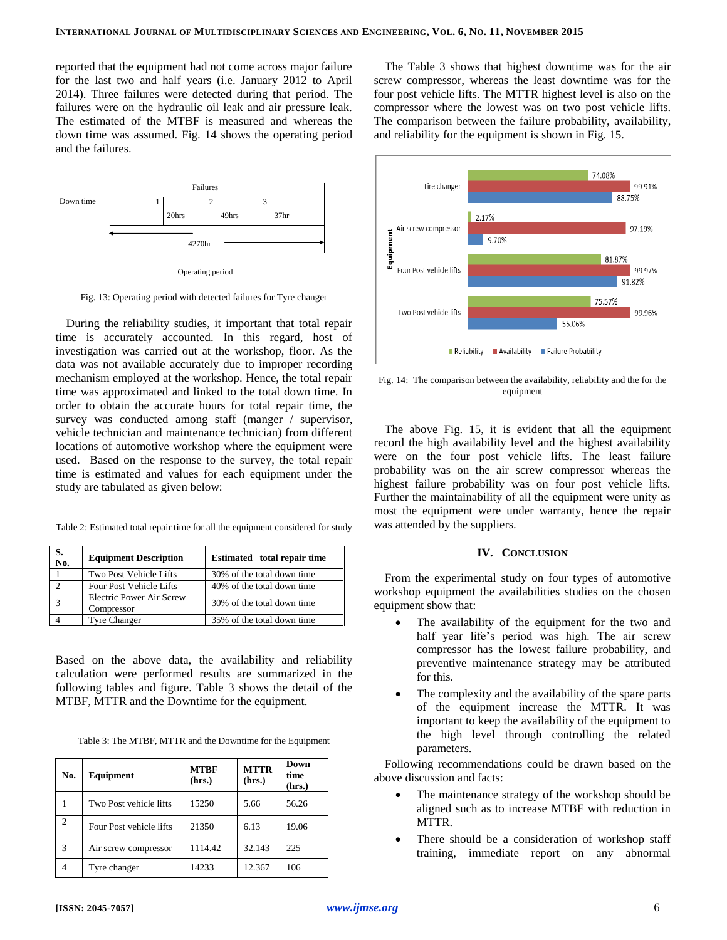reported that the equipment had not come across major failure for the last two and half years (i.e. January 2012 to April 2014). Three failures were detected during that period. The failures were on the hydraulic oil leak and air pressure leak. The estimated of the MTBF is measured and whereas the down time was assumed. Fig. 14 shows the operating period and the failures.



Operating period

Fig. 13: Operating period with detected failures for Tyre changer

During the reliability studies, it important that total repair time is accurately accounted. In this regard, host of investigation was carried out at the workshop, floor. As the data was not available accurately due to improper recording mechanism employed at the workshop. Hence, the total repair time was approximated and linked to the total down time. In order to obtain the accurate hours for total repair time, the survey was conducted among staff (manger / supervisor, vehicle technician and maintenance technician) from different locations of automotive workshop where the equipment were used. Based on the response to the survey, the total repair time is estimated and values for each equipment under the study are tabulated as given below:

Table 2: Estimated total repair time for all the equipment considered for study

| S.<br>No. | <b>Equipment Description</b>           | Estimated total repair time |
|-----------|----------------------------------------|-----------------------------|
|           | Two Post Vehicle Lifts                 | 30% of the total down time  |
|           | <b>Four Post Vehicle Lifts</b>         | 40% of the total down time  |
|           | Electric Power Air Screw<br>Compressor | 30% of the total down time  |
|           | <b>Tyre Changer</b>                    | 35% of the total down time  |

Based on the above data, the availability and reliability calculation were performed results are summarized in the following tables and figure. Table 3 shows the detail of the MTBF, MTTR and the Downtime for the equipment.

| Table 3: The MTBF, MTTR and the Downtime for the Equipment |  |  |
|------------------------------------------------------------|--|--|
|------------------------------------------------------------|--|--|

| No.            | Equipment               | <b>MTBF</b><br>(hrs.) | <b>MTTR</b><br>(hrs.) | Down<br>time<br>(hrs.) |
|----------------|-------------------------|-----------------------|-----------------------|------------------------|
|                | Two Post vehicle lifts  | 15250                 | 5.66                  | 56.26                  |
| $\overline{2}$ | Four Post vehicle lifts | 21350                 | 6.13                  | 19.06                  |
| 3              | Air screw compressor    | 1114.42               | 32.143                | 225                    |
| 4              | Tyre changer            | 14233                 | 12.367                | 106                    |

The Table 3 shows that highest downtime was for the air screw compressor, whereas the least downtime was for the four post vehicle lifts. The MTTR highest level is also on the compressor where the lowest was on two post vehicle lifts. The comparison between the failure probability, availability, and reliability for the equipment is shown in Fig. 15.



Fig. 14: The comparison between the availability, reliability and the for the equipment

The above Fig. 15, it is evident that all the equipment record the high availability level and the highest availability were on the four post vehicle lifts. The least failure probability was on the air screw compressor whereas the highest failure probability was on four post vehicle lifts. Further the maintainability of all the equipment were unity as most the equipment were under warranty, hence the repair was attended by the suppliers.

## **IV. CONCLUSION**

From the experimental study on four types of automotive workshop equipment the availabilities studies on the chosen equipment show that:

- The availability of the equipment for the two and half year life's period was high. The air screw compressor has the lowest failure probability, and preventive maintenance strategy may be attributed for this.
- The complexity and the availability of the spare parts of the equipment increase the MTTR. It was important to keep the availability of the equipment to the high level through controlling the related parameters.

Following recommendations could be drawn based on the above discussion and facts:

- The maintenance strategy of the workshop should be aligned such as to increase MTBF with reduction in MTTR.
- There should be a consideration of workshop staff training, immediate report on any abnormal